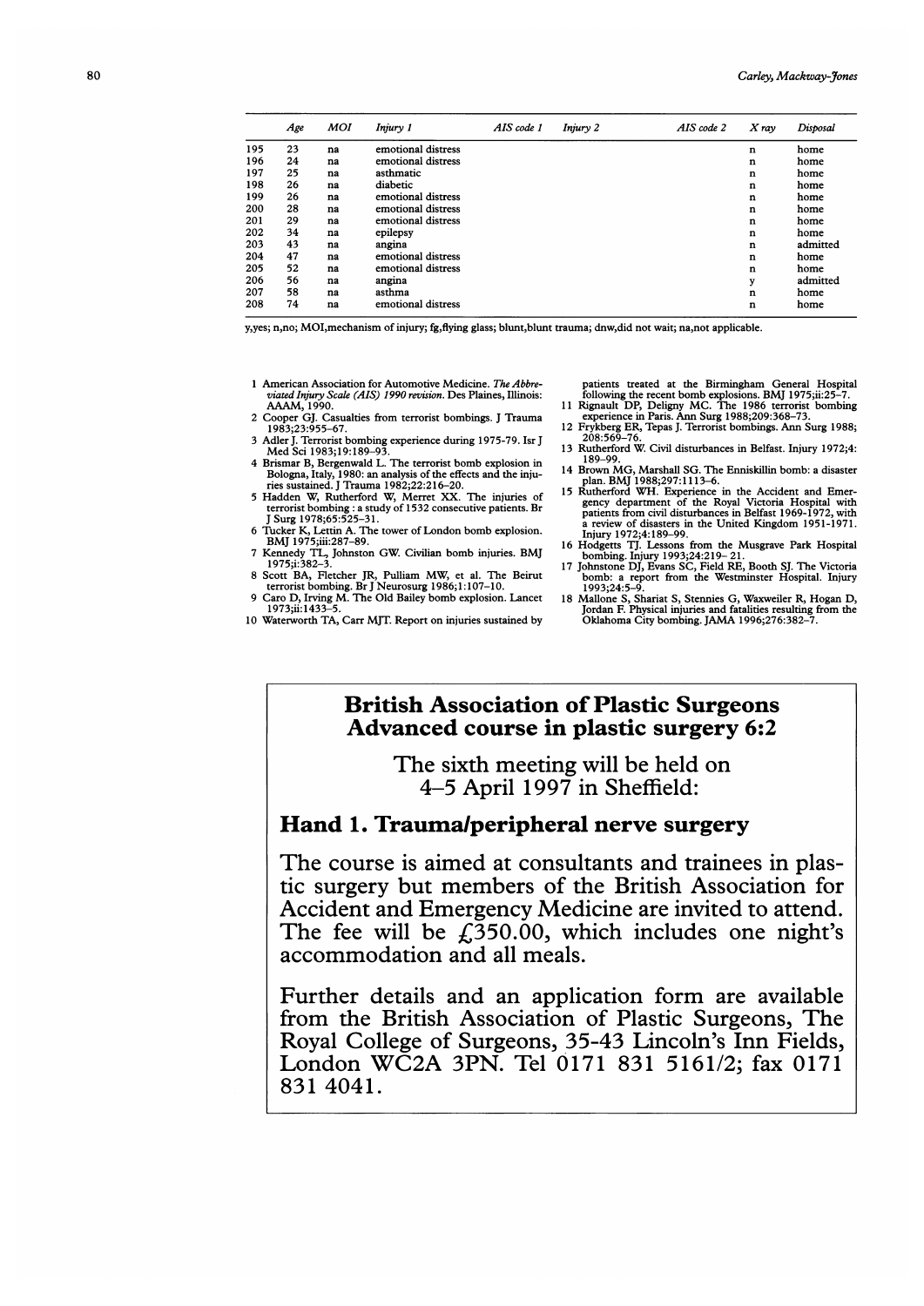|     | Age | MOI | Injury 1           | AIS code 1 | Injury 2 | AIS code 2 | $X$ ray     | Disposal |
|-----|-----|-----|--------------------|------------|----------|------------|-------------|----------|
| 195 | 23  | na  | emotional distress |            |          |            | n           | home     |
| 196 | 24  | na  | emotional distress |            |          |            | $\bf n$     | home     |
| 197 | 25  | na  | asthmatic          |            |          |            | n           | home     |
| 198 | 26  | na  | diabetic           |            |          |            | $\bf n$     | home     |
| 199 | 26  | na  | emotional distress |            |          |            | n           | home     |
| 200 | 28  | na  | emotional distress |            |          |            | n           | home     |
| 201 | 29  | na  | emotional distress |            |          |            | $\mathbf n$ | home     |
| 202 | 34  | na  | epilepsy           |            |          |            | n           | home     |
| 203 | 43  | na  | angina             |            |          |            | $\mathbf n$ | admitted |
| 204 | 47  | na  | emotional distress |            |          |            | n           | home     |
| 205 | 52  | na  | emotional distress |            |          |            | n           | home     |
| 206 | 56  | na  | angina             |            |          |            | у           | admitted |
| 207 | 58  | na  | asthma             |            |          |            | n           | home     |
| 208 | 74  | na  | emotional distress |            |          |            | $\bf n$     | home     |

y,yes; n,no; MOI,mechanism of injury; fg,flying glass; blunt,blunt trauma; dnw,did not wait; na,not applicable.

- <sup>1</sup> American Association for Automotive Medicine. The Abbreviated Injury Scale (AIS) 1990 revision. Des Plaines, Illinois: AAAM, 1990.
- 2 Cooper GJ. Casualties from terrorist bombings. <sup>J</sup> Trauma 1983;23:955-67.
- 3 Adler J. Terrorist bombing experience during 1975-79. Isr J Med Sci 1983;19:189-93.
- 
- 4 Brismar B, Bergenwald L. The terrorist bomb explosion in Bologna, Italy, 1980: an analysis of the effects and the injuries sustained. J Trauma 1982;22:216–20.<br>5 Haden W, Rutherford W, Merret XX. The injuries of terrorist
- 6 Tucker K, Lettin A. The tower of London bomb explosion. BMJ 1975;iii:287-89.
- <sup>7</sup> Kennedy TL, Johnston GW. Civilian bomb injuries. BMJ 1975;i:382-3.
- <sup>8</sup> Scott BA, Fletcher JR, Pulliam MW, et al. The Beirut terrorist bombing. Br J Neurosurg 1986; 1: 107-10. 9 Caro D, Irving M. The Old Bailey bomb explosion. Lancet
- 1973;ii: 1433
- 10 Waterworth TA, Carr MJT. Report on injuries sustained by

patients treated at the Birmingham General Hospital<br>following the recent bomb explosions. BMJ 1975;ii:25–7.<br>11 Rignault DP, Deligny MC. The 1986 terrorist bombing<br>experience in Paris. Ann Surg 1988;209:368–73.<br>12 Frykberg

- 
- Rutherford W. Civil disturbances in Belfast. Injury 1972;4: 189-99.
- <sup>14</sup> Brown MG, Marshall SG. The Enniskillin bomb: <sup>a</sup> disaster
- plan. BMJ 1988;297:1113–6.<br>
15 Rutherford WH. Experience in the Accident and Emer-<br>
Rutherford WH. Experience in the Accident and Emer-<br>
gency department of the Royal Victoria Hospital with<br>
pairets from civil disturbances
- 
- 
- bomb: a report from the Westminster Hospital. Injury<br>1993;24:5-9.<br>18 Mallone S, Shariat S, Stennies G, Waxweller R, Hogan D,<br>Jordan F. Physical injuries and fatalities resulting from the<br>Oklahoma City bombing. JAMA 1996;27

## British Association of Plastic Surgeons Advanced course in plastic surgery 6:2

The sixth meeting will be held on 4-5 April 1997 in Sheffield:

#### Hand 1. Trauma/peripheral nerve surgery

The course is aimed at consultants and trainees in plastic surgery but members of the British Association for Accident and Emergency Medicine are invited to attend. The fee will be  $f<sub>1</sub>350.00$ , which includes one night's accommodation and all meals.

Further details and an application form are available from the British Association of Plastic Surgeons, The Royal College of Surgeons, 35-43 Lincoln's Inn Fields, London WC2A 3PN. Tel 0171 831 5161/2; fax 0171 831 4041.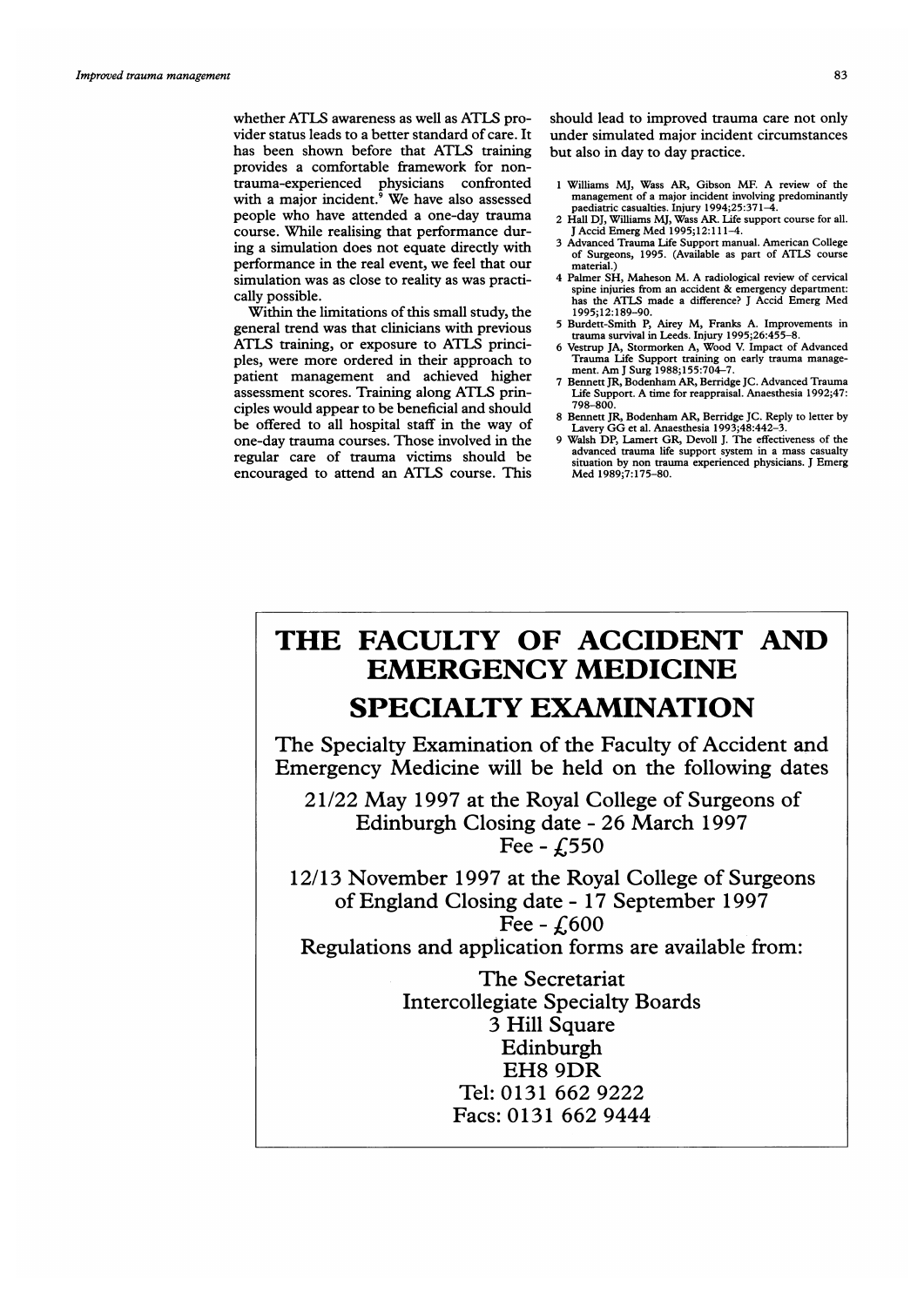whether ATLS awareness as well as ATLS provider status leads to a better standard of care. It has been shown before that ATLS training provides a comfortable framework for nontrauma-experienced physicians confronted with <sup>a</sup> major incident.9 We have also assessed people who have attended a one-day trauma course. While realising that performance during a simulation does not equate directly with performance in the real event, we feel that our simulation was as close to reality as was practically possible.

Within the limitations of this small study, the general trend was that clinicians with previous ATLS training, or exposure to ATLS principles, were more ordered in their approach to patient management and achieved higher assessment scores. Training along ATLS principles would appear to be beneficial and should be offered to all hospital staff in the way of one-day trauma courses. Those involved in the regular care of trauma victims should be encouraged to attend an ATLS course. This

should lead to improved trauma care not only under simulated major incident circumstances but also in day to day practice.

- <sup>1</sup> Williams MJ, Wass AR, Gibson MF. A review of the management of a major incident involving predominantly
- paediatric casualties. Injury 1994;25:371-4.<br>2 Hall DJ, Williams MJ, Wass AR. Life support course for all.<br>J Accid Emerg Med 1995;12:111-4.
- 3 Advanced Trauma Life Support manual. American College of Surgeons, 1995. (Available as part of ATLS course material.)
- <sup>4</sup> Palmer SH, Maheson M. A radiological review of cervical spine injuries from an accident & emergency department: has the ATLS made <sup>a</sup> difference? <sup>J</sup> Accid Emerg Med 1995;12:189-90.
- <sup>5</sup> Burdett-Smith P, Airey M, Franks A. Improvements in trauma survival in Leeds. Injury 1995;26:455-8.
- 6 Vestrup JA, Stormorken A, Wood V. Impact of Advanced Trauma Life Support training on early trauma manage-ment. Am <sup>J</sup> Surg 1988; 155:704-7.
- 7 Bennett JR, Bodenham AR, Berridge JC. Advanced Trauma Life Support. A time for reappraisal. Anaesthesia 1992;47: 798-800.
- 8 Bennett JR, Bodenham AR, Berridge JC. Reply to letter by Lavery GG et al. Anaesthesia 1993;48:442-3.
- 9 Walsh DP, Lamert GR, Devoll J. The effectiveness of the advanced trauma life support system in a mass casualty situation by non trauma experienced physicians. J Emerg Med 1989;7:175-80.

# THE FACULTY OF ACCIDENT AND EMERGENCY MEDICINE SPECIALTY EXAMINATION

The Specialty Examination of the Faculty of Accident and Emergency Medicine will be held on the following dates

21/22 May 1997 at the Royal College of Surgeons of Edinburgh Closing date - 26 March 1997 Fee -  $f$ ,550

12/13 November 1997 at the Royal College of Surgeons of England Closing date - 17 September 1997 Fee -  $f600$ 

Regulations and application forms are available from:

The Secretariat Intercollegiate Specialty Boards 3 Hill Square Edinburgh EH8 9DR Tel: 0131 662 9222 Facs: 0131 662 9444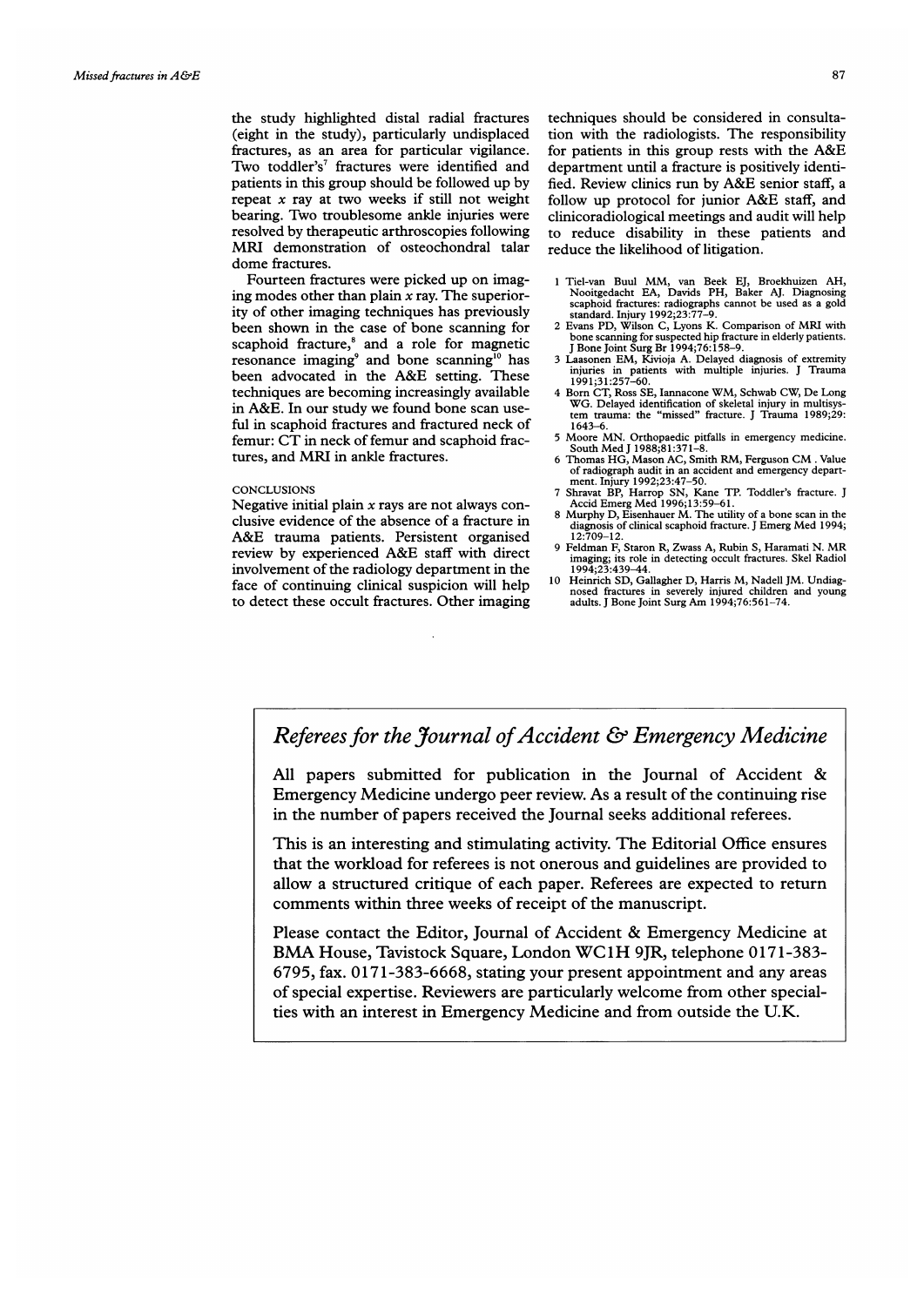the study highlighted distal radial fractures (eight in the study), particularly undisplaced fractures, as an area for particular vigilance. Two toddler's<sup>7</sup> fractures were identified and patients in this group should be followed up by repeat  $x$  ray at two weeks if still not weight bearing. Two troublesome ankle injuries were resolved by therapeutic arthroscopies following MRI demonstration of osteochondral talar dome fractures.

Fourteen fractures were picked up on imaging modes other than plain  $x$  ray. The superiority of other imaging techniques has previously been shown in the case of bone scanning for scaphoid fracture,<sup>8</sup> and a role for magnetic resonance imaging<sup>9</sup> and bone scanning<sup>10</sup> has been advocated in the A&E setting. These techniques are becoming increasingly available in A&E. In our study we found bone scan useful in scaphoid fractures and fractured neck of femur: CT in neck of femur and scaphoid fractures, and MRI in ankle fractures.

#### **CONCLUSIONS**

Negative initial plain  $x$  rays are not always conclusive evidence of the absence of a fracture in A&E trauma patients. Persistent organised review by experienced A&E staff with direct involvement of the radiology department in the face of continuing clinical suspicion will help to detect these occult fractures. Other imaging techniques should be considered in consultation with the radiologists. The responsibility for patients in this group rests with the A&E department until a fracture is positively identified. Review clinics run by A&E senior staff, <sup>a</sup> follow up protocol for junior A&E staff, and clinicoradiological meetings and audit will help to reduce disability in these patients and reduce the likelihood of litigation.

- <sup>1</sup> Tiel-van Buul MM, van Beek EJ, Broekhuizen AH, Nooitgedacht EA, Davids PH, Baker AJ. Diagnosing scaphoid fractures: radiographs cannot be used as a gold standard. Injury 1992;23:77-9.
- <sup>2</sup> Evans PD, Wilson C, Lyons K. Comparison of MRI with bone scanning for suspected hip fracture in elderly patients. J Bone Joint Surg Br 1994;76:158-9.
- 3 Laasonen EM, Kivioja A. Delayed diagnosis of extremity injuries in patients with multiple injuries. <sup>J</sup> Trauma 1991;31:257-60.
- <sup>4</sup> Born CT, Ross SE, Iannacone WM, Schwab CW, De Long WG. Delayed identification of skeletal injury in multisys-tem trauma: the "missed" fracture. <sup>J</sup> Trauma 1989;29: 643-6
- <sup>5</sup> Moore MN. Orthopaedic pitfalls in emergency medicine. South Med <sup>J</sup> 1988;81:371-8. <sup>6</sup> Thomas HG, Mason AC, Smith RM, Ferguson CM Value
- of radiograph audit in an accident and emergency depart-ment. Injury 1992;23:47-50. 7 Shravat BP, Harrop SN, Kane TP. Toddler's fracture. <sup>J</sup>
- Accid Emerg Med 1996; 13:59-61.
- 8 Murphy D, Eisenhauer M. The utility of <sup>a</sup> bone scan in the diagnosis of clinical scaphoid fracture. <sup>J</sup> Emerg Med 1994; 12:709-12.
- <sup>9</sup> Feldman F, Staron R, Zwass A, Rubin S, Haramati N. MR imaging; its role in detecting occult fractures. Skel Radiol 1994;23:439-44. 10 Heinrich SD, Gallagher D, Harris M, Nadell JM. Undiag-
- nosed fractures in severely injured children and young adults. <sup>J</sup> Bone Joint Surg Am 1994;76:561-74.

## Referees for the Journal of Accident & Emergency Medicine

All papers submitted for publication in the Journal of Accident & Emergency Medicine undergo peer review. As a result of the continuing rise in the number of papers received the Journal seeks additional referees.

This is an interesting and stimulating activity. The Editorial Office ensures that the workload for referees is not onerous and guidelines are provided to allow a structured critique of each paper. Referees are expected to return comments within three weeks of receipt of the manuscript.

Please contact the Editor, Journal of Accident & Emergency Medicine at BMA House, Tavistock Square, London WC1H 9JR, telephone 0171-383- 6795, fax. 0171-383-6668, stating your present appointment and any areas of special expertise. Reviewers are particularly welcome from other specialties with an interest in Emergency Medicine and from outside the U.K.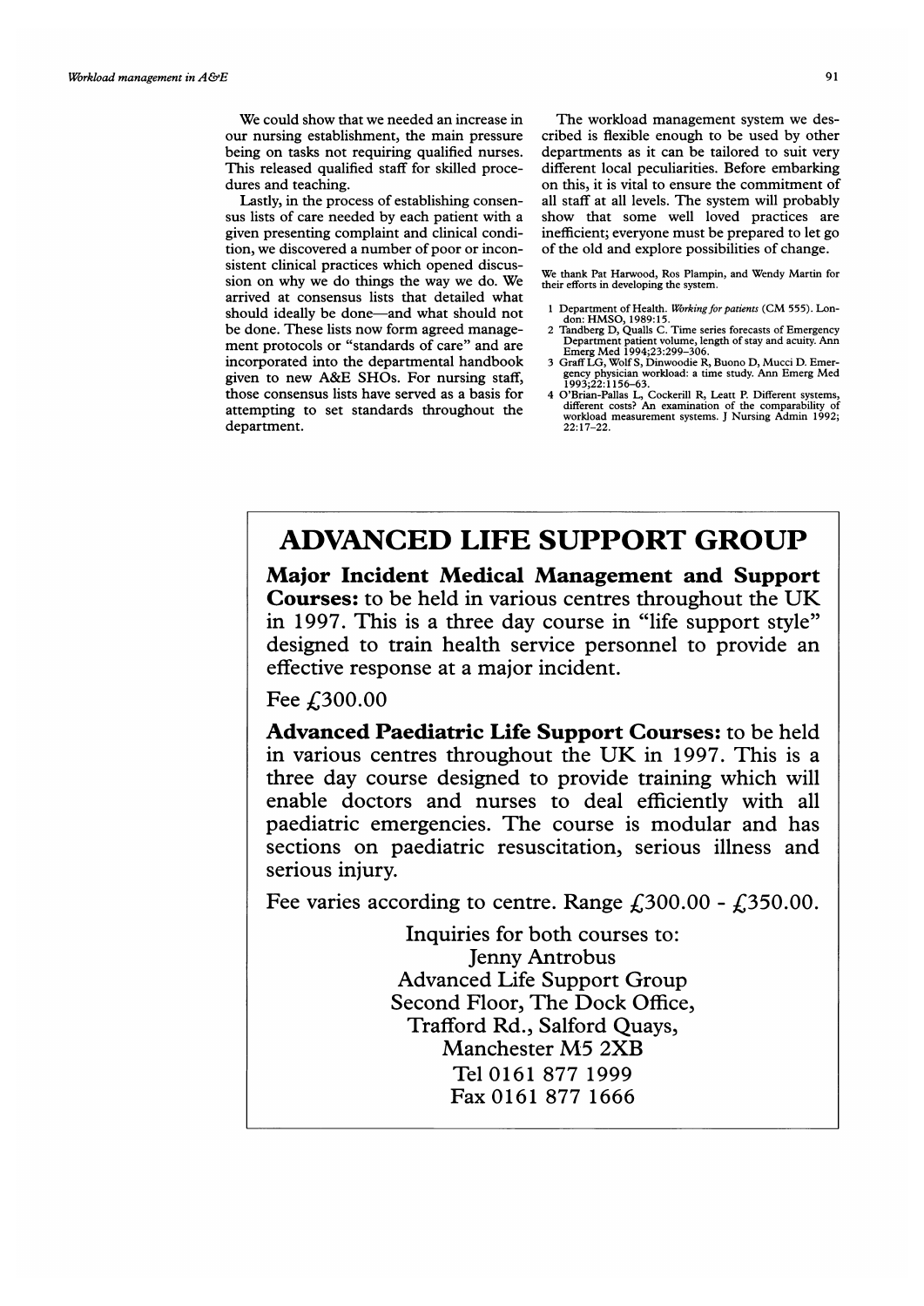We could show that we needed an increase in our nursing establishment, the main pressure being on tasks not requiring qualified nurses. This released qualified staff for skilled procedures and teaching.

Lastly, in the process of establishing consensus lists of care needed by each patient with a given presenting complaint and clinical condition, we discovered a number of poor or inconsistent clinical practices which opened discussion on why we do things the way we do. We arrived at consensus lists that detailed what should ideally be done-and what should not be done. These lists now form agreed management protocols or "standards of care" and are incorporated into the departmental handbook given to new A&E SHOs. For nursing staff, those consensus lists have served as a basis for attempting to set standards throughout the department.

The workload management system we described is flexible enough to be used by other departments as it can be tailored to suit very different local peculiarities. Before embarking on this, it is vital to ensure the commitment of all staff at all levels. The system will probably show that some well loved practices are inefficient; everyone must be prepared to let go of the old and explore possibilities of change.

We thank Pat Harwood, Ros Plampin, and Wendy Martin for their efforts in developing the system.

- 
- 1 Department of Health. Working for patients (CM 555). Lon-<br>don: HMSO, 1989:15.<br>2 Tandberg D, Qualls C. Time series forecasts of Emergency<br>Department patient volume, length of stay and acuity. Ann<br>Emerg Med 1994;23:299–306
- gency physician workload: <sup>a</sup> time study. Ann Emerg Med 1993;22:1156-63.
- 4 O'Brian-Pallas L, Cockerill R, Leatt P. Different systems, different costs? An examination of the comparability of workload measurement systems. <sup>J</sup> Nursing Admin 1992; 22: 17-22.

## ADVANCED LIFE SUPPORT GROUP

Major Incident Medical Management and Support Courses: to be held in various centres throughout the UK in 1997. This is a three day course in "life support style" designed to train health service personnel to provide an effective response at a major incident.

Fee £300.00

Advanced Paediatric Life Support Courses: to be held in various centres throughout the UK in 1997. This is <sup>a</sup> three day course designed to provide training which will enable doctors and nurses to deal efficiently with all paediatric emergencies. The course is modular and has sections on paediatric resuscitation, serious illness and serious injury.

Fee varies according to centre. Range  $\text{\textsterling}300.00 - \text{\textsterling}350.00$ .

Inquiries for both courses to: Jenny Antrobus Advanced Life Support Group Second Floor, The Dock Office, Trafford Rd., Salford Quays, Manchester M5 2XB Tel 0161 877 1999 Fax 0161 877 1666